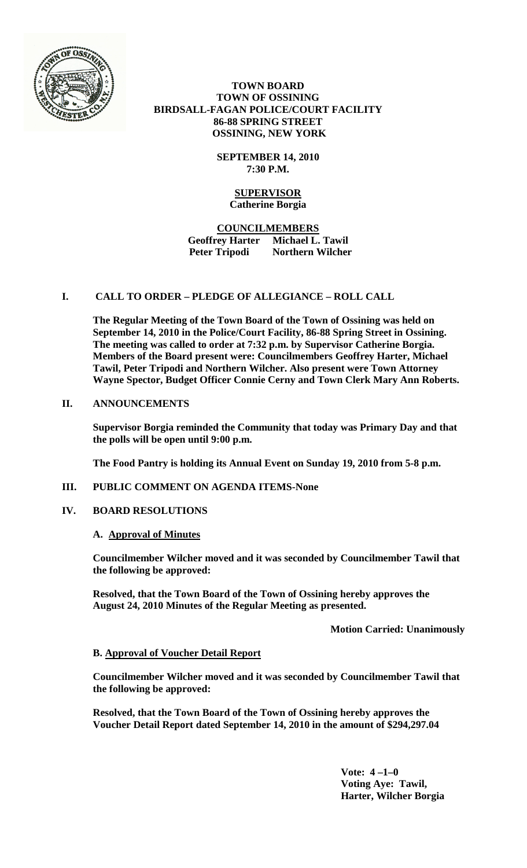

# **TOWN BOARD TOWN OF OSSINING BIRDSALL-FAGAN POLICE/COURT FACILITY 86-88 SPRING STREET OSSINING, NEW YORK**

**SEPTEMBER 14, 2010 7:30 P.M.**

## **SUPERVISOR Catherine Borgia**

# **COUNCILMEMBERS Geoffrey Harter Michael L. Tawil Peter Tripodi Northern Wilcher**

# **I. CALL TO ORDER – PLEDGE OF ALLEGIANCE – ROLL CALL**

**The Regular Meeting of the Town Board of the Town of Ossining was held on September 14, 2010 in the Police/Court Facility, 86-88 Spring Street in Ossining. The meeting was called to order at 7:32 p.m. by Supervisor Catherine Borgia. Members of the Board present were: Councilmembers Geoffrey Harter, Michael Tawil, Peter Tripodi and Northern Wilcher. Also present were Town Attorney Wayne Spector, Budget Officer Connie Cerny and Town Clerk Mary Ann Roberts.**

# **II. ANNOUNCEMENTS**

**Supervisor Borgia reminded the Community that today was Primary Day and that the polls will be open until 9:00 p.m.**

**The Food Pantry is holding its Annual Event on Sunday 19, 2010 from 5-8 p.m.** 

**III. PUBLIC COMMENT ON AGENDA ITEMS-None**

# **IV. BOARD RESOLUTIONS**

# **A. Approval of Minutes**

**Councilmember Wilcher moved and it was seconded by Councilmember Tawil that the following be approved:**

**Resolved, that the Town Board of the Town of Ossining hereby approves the August 24, 2010 Minutes of the Regular Meeting as presented.**

 **Motion Carried: Unanimously**

# **B. Approval of Voucher Detail Report**

**Councilmember Wilcher moved and it was seconded by Councilmember Tawil that the following be approved:**

**Resolved, that the Town Board of the Town of Ossining hereby approves the Voucher Detail Report dated September 14, 2010 in the amount of \$294,297.04**

> **Vote: 4 –1–0 Voting Aye: Tawil, Harter, Wilcher Borgia**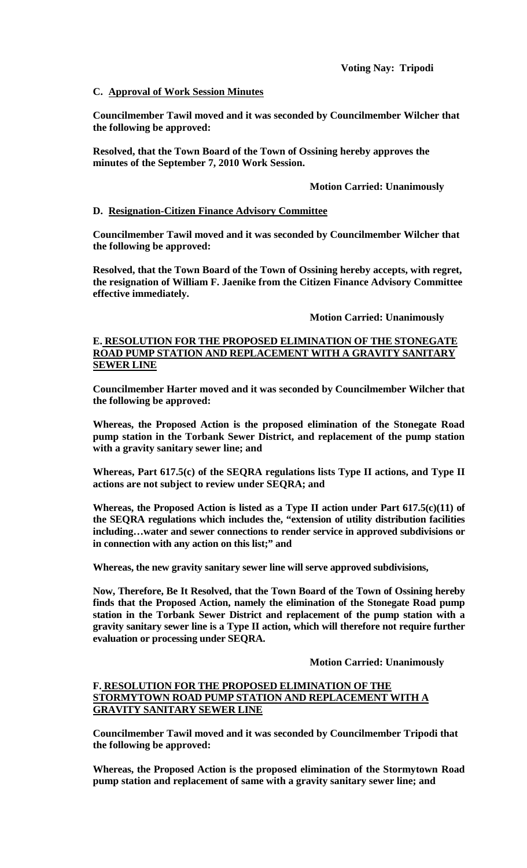# **C. Approval of Work Session Minutes**

**Councilmember Tawil moved and it was seconded by Councilmember Wilcher that the following be approved:**

**Resolved, that the Town Board of the Town of Ossining hereby approves the minutes of the September 7, 2010 Work Session.**

### **Motion Carried: Unanimously**

## **D. Resignation-Citizen Finance Advisory Committee**

**Councilmember Tawil moved and it was seconded by Councilmember Wilcher that the following be approved:**

**Resolved, that the Town Board of the Town of Ossining hereby accepts, with regret, the resignation of William F. Jaenike from the Citizen Finance Advisory Committee effective immediately.**

### **Motion Carried: Unanimously**

## **E. RESOLUTION FOR THE PROPOSED ELIMINATION OF THE STONEGATE ROAD PUMP STATION AND REPLACEMENT WITH A GRAVITY SANITARY SEWER LINE**

**Councilmember Harter moved and it was seconded by Councilmember Wilcher that the following be approved:**

**Whereas, the Proposed Action is the proposed elimination of the Stonegate Road pump station in the Torbank Sewer District, and replacement of the pump station with a gravity sanitary sewer line; and**

**Whereas, Part 617.5(c) of the SEQRA regulations lists Type II actions, and Type II actions are not subject to review under SEQRA; and**

**Whereas, the Proposed Action is listed as a Type II action under Part 617.5(c)(11) of the SEQRA regulations which includes the, "extension of utility distribution facilities including…water and sewer connections to render service in approved subdivisions or in connection with any action on this list;" and**

**Whereas, the new gravity sanitary sewer line will serve approved subdivisions,**

**Now, Therefore, Be It Resolved, that the Town Board of the Town of Ossining hereby finds that the Proposed Action, namely the elimination of the Stonegate Road pump station in the Torbank Sewer District and replacement of the pump station with a gravity sanitary sewer line is a Type II action, which will therefore not require further evaluation or processing under SEQRA.** 

### **Motion Carried: Unanimously**

# **F. RESOLUTION FOR THE PROPOSED ELIMINATION OF THE STORMYTOWN ROAD PUMP STATION AND REPLACEMENT WITH A GRAVITY SANITARY SEWER LINE**

**Councilmember Tawil moved and it was seconded by Councilmember Tripodi that the following be approved:**

**Whereas, the Proposed Action is the proposed elimination of the Stormytown Road pump station and replacement of same with a gravity sanitary sewer line; and**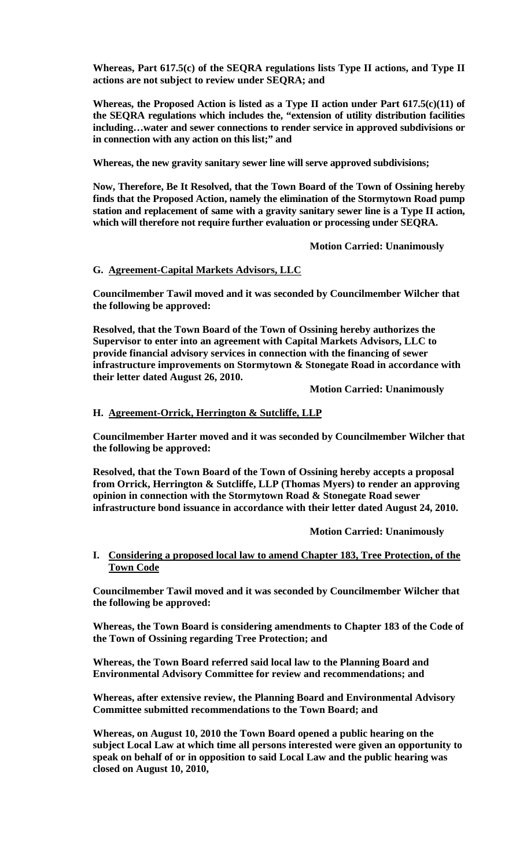**Whereas, Part 617.5(c) of the SEQRA regulations lists Type II actions, and Type II actions are not subject to review under SEQRA; and**

**Whereas, the Proposed Action is listed as a Type II action under Part 617.5(c)(11) of the SEQRA regulations which includes the, "extension of utility distribution facilities including…water and sewer connections to render service in approved subdivisions or in connection with any action on this list;" and**

**Whereas, the new gravity sanitary sewer line will serve approved subdivisions;**

**Now, Therefore, Be It Resolved, that the Town Board of the Town of Ossining hereby finds that the Proposed Action, namely the elimination of the Stormytown Road pump station and replacement of same with a gravity sanitary sewer line is a Type II action, which will therefore not require further evaluation or processing under SEQRA.** 

**Motion Carried: Unanimously**

## **G. Agreement-Capital Markets Advisors, LLC**

**Councilmember Tawil moved and it was seconded by Councilmember Wilcher that the following be approved:**

**Resolved, that the Town Board of the Town of Ossining hereby authorizes the Supervisor to enter into an agreement with Capital Markets Advisors, LLC to provide financial advisory services in connection with the financing of sewer infrastructure improvements on Stormytown & Stonegate Road in accordance with their letter dated August 26, 2010.**

**Motion Carried: Unanimously**

# **H. Agreement-Orrick, Herrington & Sutcliffe, LLP**

**Councilmember Harter moved and it was seconded by Councilmember Wilcher that the following be approved:**

**Resolved, that the Town Board of the Town of Ossining hereby accepts a proposal from Orrick, Herrington & Sutcliffe, LLP (Thomas Myers) to render an approving opinion in connection with the Stormytown Road & Stonegate Road sewer infrastructure bond issuance in accordance with their letter dated August 24, 2010.**

**Motion Carried: Unanimously**

**I. Considering a proposed local law to amend Chapter 183, Tree Protection, of the Town Code**

**Councilmember Tawil moved and it was seconded by Councilmember Wilcher that the following be approved:**

**Whereas, the Town Board is considering amendments to Chapter 183 of the Code of the Town of Ossining regarding Tree Protection; and**

**Whereas, the Town Board referred said local law to the Planning Board and Environmental Advisory Committee for review and recommendations; and**

**Whereas, after extensive review, the Planning Board and Environmental Advisory Committee submitted recommendations to the Town Board; and**

**Whereas, on August 10, 2010 the Town Board opened a public hearing on the subject Local Law at which time all persons interested were given an opportunity to speak on behalf of or in opposition to said Local Law and the public hearing was closed on August 10, 2010,**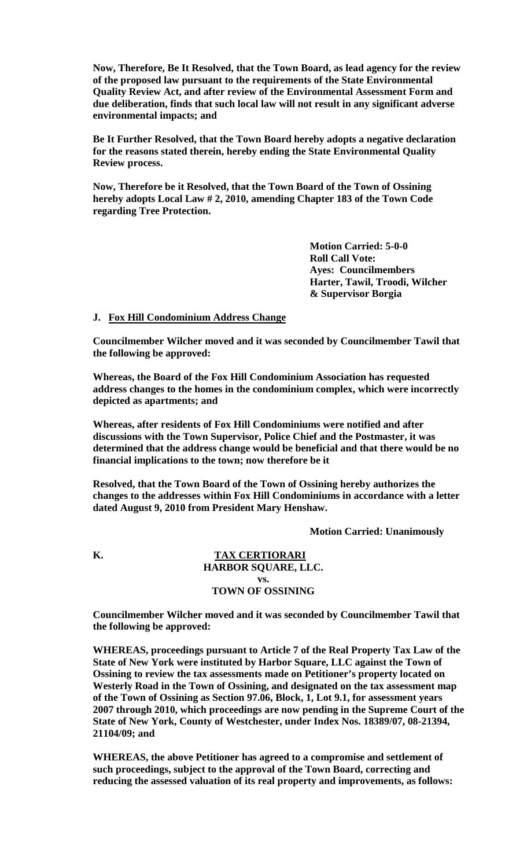**Now, Therefore, Be It Resolved, that the Town Board, as lead agency for the review of the proposed law pursuant to the requirements of the State Environmental Quality Review Act, and after review of the Environmental Assessment Form and due deliberation, finds that such local law will not result in any significant adverse environmental impacts; and** 

**Be It Further Resolved, that the Town Board hereby adopts a negative declaration for the reasons stated therein, hereby ending the State Environmental Quality Review process.**

**Now, Therefore be it Resolved, that the Town Board of the Town of Ossining hereby adopts Local Law # 2, 2010, amending Chapter 183 of the Town Code regarding Tree Protection.** 

> **Motion Carried: 5-0-0 Roll Call Vote: Ayes: Councilmembers Harter, Tawil, Troodi, Wilcher & Supervisor Borgia**

#### **J. Fox Hill Condominium Address Change**

**Councilmember Wilcher moved and it was seconded by Councilmember Tawil that the following be approved:**

**Whereas, the Board of the Fox Hill Condominium Association has requested address changes to the homes in the condominium complex, which were incorrectly depicted as apartments; and**

**Whereas, after residents of Fox Hill Condominiums were notified and after discussions with the Town Supervisor, Police Chief and the Postmaster, it was determined that the address change would be beneficial and that there would be no financial implications to the town; now therefore be it**

**Resolved, that the Town Board of the Town of Ossining hereby authorizes the changes to the addresses within Fox Hill Condominiums in accordance with a letter dated August 9, 2010 from President Mary Henshaw.**

**Motion Carried: Unanimously**

### **K. TAX CERTIORARI HARBOR SQUARE, LLC. vs. TOWN OF OSSINING**

**Councilmember Wilcher moved and it was seconded by Councilmember Tawil that the following be approved:**

**WHEREAS, proceedings pursuant to Article 7 of the Real Property Tax Law of the State of New York were instituted by Harbor Square, LLC against the Town of Ossining to review the tax assessments made on Petitioner's property located on Westerly Road in the Town of Ossining, and designated on the tax assessment map of the Town of Ossining as Section 97.06, Block, 1, Lot 9.1, for assessment years 2007 through 2010, which proceedings are now pending in the Supreme Court of the State of New York, County of Westchester, under Index Nos. 18389/07, 08-21394, 21104/09; and** 

**WHEREAS, the above Petitioner has agreed to a compromise and settlement of such proceedings, subject to the approval of the Town Board, correcting and reducing the assessed valuation of its real property and improvements, as follows:**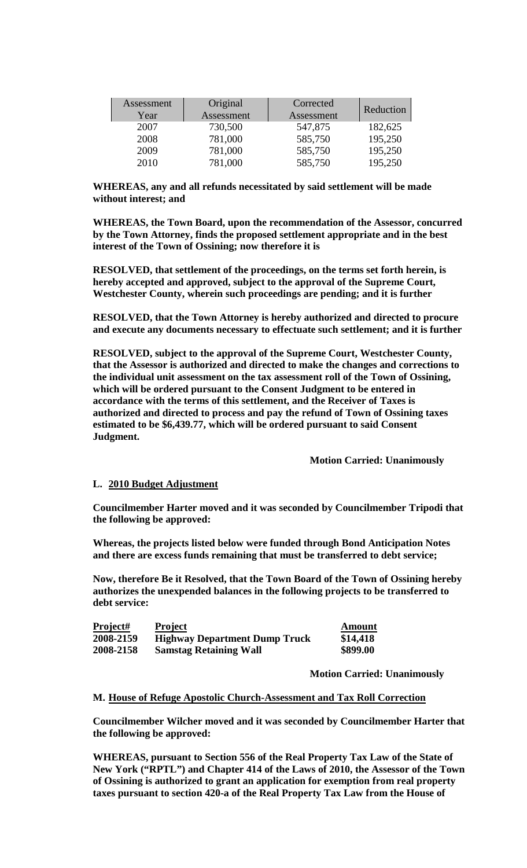| Assessment<br>Year | Original<br>Assessment | Corrected<br>Assessment | Reduction |
|--------------------|------------------------|-------------------------|-----------|
| 2007               | 730,500                | 547,875                 | 182,625   |
| 2008               | 781,000                | 585,750                 | 195,250   |
| 2009               | 781,000                | 585,750                 | 195,250   |
| 2010               | 781,000                | 585,750                 | 195,250   |

**WHEREAS, any and all refunds necessitated by said settlement will be made without interest; and** 

**WHEREAS, the Town Board, upon the recommendation of the Assessor, concurred by the Town Attorney, finds the proposed settlement appropriate and in the best interest of the Town of Ossining; now therefore it is** 

**RESOLVED, that settlement of the proceedings, on the terms set forth herein, is hereby accepted and approved, subject to the approval of the Supreme Court, Westchester County, wherein such proceedings are pending; and it is further** 

**RESOLVED, that the Town Attorney is hereby authorized and directed to procure and execute any documents necessary to effectuate such settlement; and it is further** 

**RESOLVED, subject to the approval of the Supreme Court, Westchester County, that the Assessor is authorized and directed to make the changes and corrections to the individual unit assessment on the tax assessment roll of the Town of Ossining, which will be ordered pursuant to the Consent Judgment to be entered in accordance with the terms of this settlement, and the Receiver of Taxes is authorized and directed to process and pay the refund of Town of Ossining taxes estimated to be \$6,439.77, which will be ordered pursuant to said Consent Judgment.**

**Motion Carried: Unanimously**

### **L. 2010 Budget Adjustment**

**Councilmember Harter moved and it was seconded by Councilmember Tripodi that the following be approved:**

**Whereas, the projects listed below were funded through Bond Anticipation Notes and there are excess funds remaining that must be transferred to debt service;**

**Now, therefore Be it Resolved, that the Town Board of the Town of Ossining hereby authorizes the unexpended balances in the following projects to be transferred to debt service:**

| Project#  | <b>Project</b>                       | <b>Amount</b> |
|-----------|--------------------------------------|---------------|
| 2008-2159 | <b>Highway Department Dump Truck</b> | \$14,418      |
| 2008-2158 | <b>Samstag Retaining Wall</b>        | \$899.00      |

**Motion Carried: Unanimously**

## **M. House of Refuge Apostolic Church-Assessment and Tax Roll Correction**

**Councilmember Wilcher moved and it was seconded by Councilmember Harter that the following be approved:**

**WHEREAS, pursuant to Section 556 of the Real Property Tax Law of the State of New York ("RPTL") and Chapter 414 of the Laws of 2010, the Assessor of the Town of Ossining is authorized to grant an application for exemption from real property taxes pursuant to section 420-a of the Real Property Tax Law from the House of**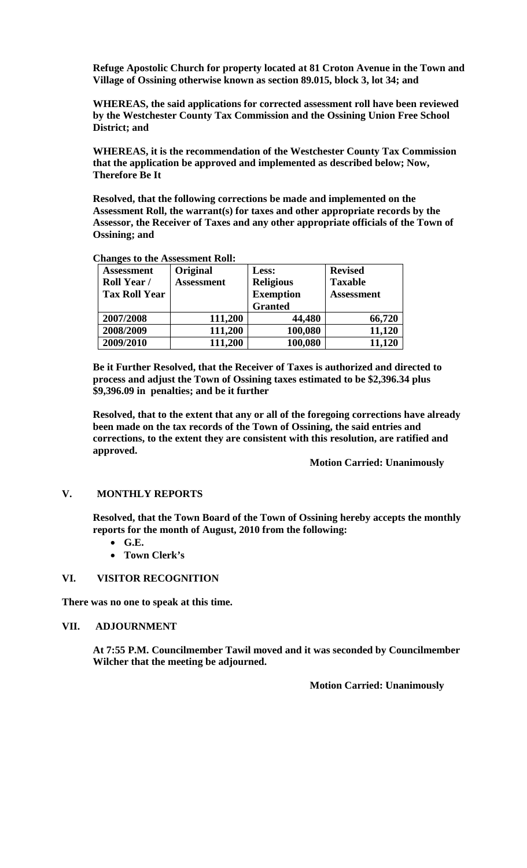**Refuge Apostolic Church for property located at 81 Croton Avenue in the Town and Village of Ossining otherwise known as section 89.015, block 3, lot 34; and** 

**WHEREAS, the said applications for corrected assessment roll have been reviewed by the Westchester County Tax Commission and the Ossining Union Free School District; and**

**WHEREAS, it is the recommendation of the Westchester County Tax Commission that the application be approved and implemented as described below; Now, Therefore Be It**

**Resolved, that the following corrections be made and implemented on the Assessment Roll, the warrant(s) for taxes and other appropriate records by the Assessor, the Receiver of Taxes and any other appropriate officials of the Town of Ossining; and** 

| <b>Assessment</b>    | Original          | Less:            | <b>Revised</b>    |
|----------------------|-------------------|------------------|-------------------|
| <b>Roll Year /</b>   | <b>Assessment</b> | <b>Religious</b> | <b>Taxable</b>    |
| <b>Tax Roll Year</b> |                   | <b>Exemption</b> | <b>Assessment</b> |
|                      |                   | <b>Granted</b>   |                   |
| 2007/2008            | 111,200           | 44,480           | 66,720            |
| 2008/2009            | 111,200           | 100,080          | 11,120            |
| 2009/2010            | 111,200           | 100,080          | 11,120            |

# **Changes to the Assessment Roll:**

**Be it Further Resolved, that the Receiver of Taxes is authorized and directed to process and adjust the Town of Ossining taxes estimated to be \$2,396.34 plus \$9,396.09 in penalties; and be it further**

**Resolved, that to the extent that any or all of the foregoing corrections have already been made on the tax records of the Town of Ossining, the said entries and corrections, to the extent they are consistent with this resolution, are ratified and approved.**

### **Motion Carried: Unanimously**

### **V. MONTHLY REPORTS**

**Resolved, that the Town Board of the Town of Ossining hereby accepts the monthly reports for the month of August, 2010 from the following:**

- **G.E.**
- **Town Clerk's**

### **VI. VISITOR RECOGNITION**

**There was no one to speak at this time.**

### **VII. ADJOURNMENT**

**At 7:55 P.M. Councilmember Tawil moved and it was seconded by Councilmember Wilcher that the meeting be adjourned.**

**Motion Carried: Unanimously**